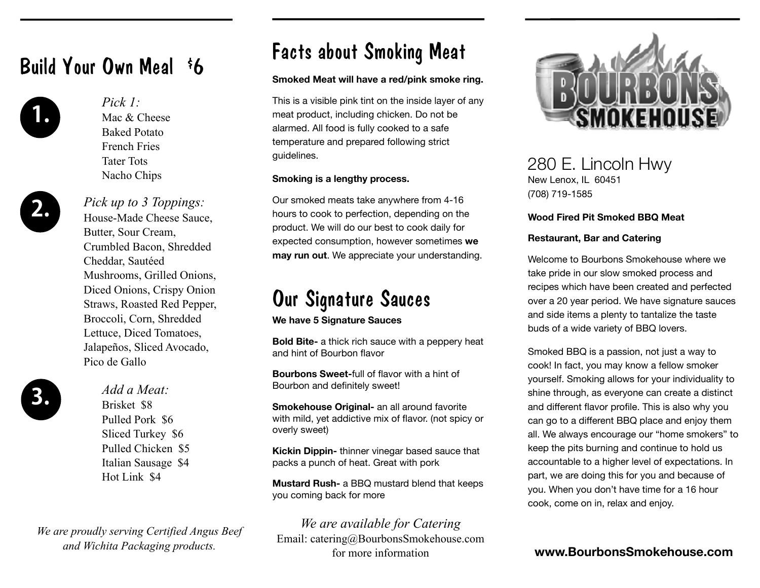## Build Your Own Meal \$6



**1.** *Pick 1:* Mac & Cheese Baked Potato French Fries Tater Tots Nacho Chips

**2.** *Pick up to 3 Toppings:* House-Made Cheese Sauce, Butter, Sour Cream, Crumbled Bacon, Shredded Cheddar, Sautéed Mushrooms, Grilled Onions, Diced Onions, Crispy Onion Straws, Roasted Red Pepper, Broccoli, Corn, Shredded Lettuce, Diced Tomatoes, Jalapeños, Sliced Avocado, Pico de Gallo



**3.** *Add a Meat:* Brisket \$8 Pulled Pork \$6 Sliced Turkey \$6 Pulled Chicken \$5 Italian Sausage \$4 Hot Link \$4

*We are proudly serving Certified Angus Beef and Wichita Packaging products.*

## Facts about Smoking Meat

#### **Smoked Meat will have a red/pink smoke ring.**

This is a visible pink tint on the inside layer of any meat product, including chicken. Do not be alarmed. All food is fully cooked to a safe temperature and prepared following strict guidelines.

#### **Smoking is a lengthy process.**

Our smoked meats take anywhere from 4-16 hours to cook to perfection, depending on the product. We will do our best to cook daily for expected consumption, however sometimes **we may run out**. We appreciate your understanding.

# Our Signature Sauces

**We have 5 Signature Sauces** 

**Bold Bite-** a thick rich sauce with a peppery heat and hint of Bourbon flavor

**Bourbons Sweet-**full of flavor with a hint of Bourbon and definitely sweet!

**Smokehouse Original-** an all around favorite with mild, yet addictive mix of flavor. (not spicy or overly sweet)

**Kickin Dippin-** thinner vinegar based sauce that packs a punch of heat. Great with pork

**Mustard Rush-** a BBQ mustard blend that keeps you coming back for more

*We are available for Catering* Email: catering@BourbonsSmokehouse.com for more information



### 280 E. Lincoln Hwy

New Lenox, IL 60451 (708) 719-1585

#### **Wood Fired Pit Smoked BBQ Meat**

#### **Restaurant, Bar and Catering**

Welcome to Bourbons Smokehouse where we take pride in our slow smoked process and recipes which have been created and perfected over a 20 year period. We have signature sauces and side items a plenty to tantalize the taste buds of a wide variety of BBQ lovers.

Smoked BBQ is a passion, not just a way to cook! In fact, you may know a fellow smoker yourself. Smoking allows for your individuality to shine through, as everyone can create a distinct and different flavor profile. This is also why you can go to a different BBQ place and enjoy them all. We always encourage our "home smokers" to keep the pits burning and continue to hold us accountable to a higher level of expectations. In part, we are doing this for you and because of you. When you don't have time for a 16 hour cook, come on in, relax and enjoy.

**www.BourbonsSmokehouse.com**